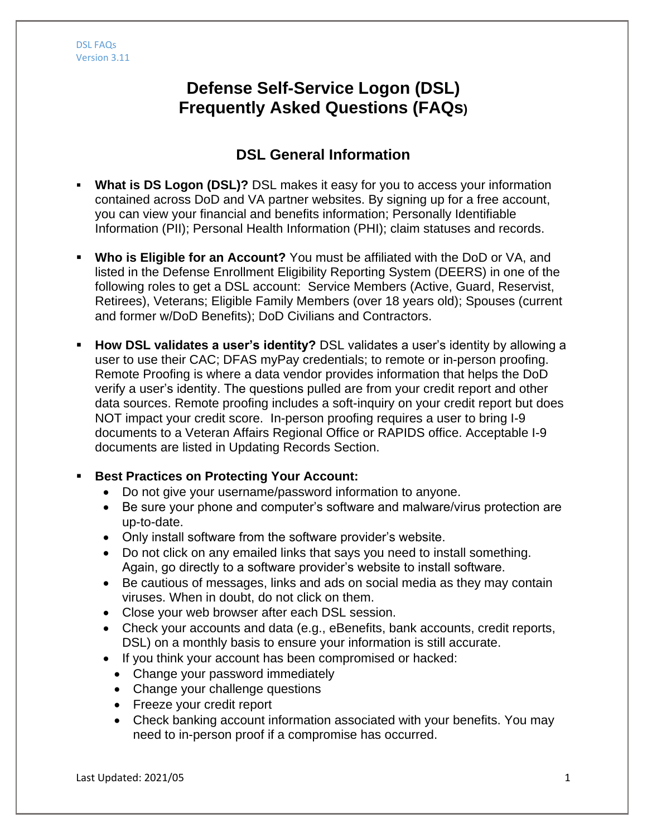# **Defense Self-Service Logon (DSL) Frequently Asked Questions (FAQs)**

# **DSL General Information**

- **What is DS Logon (DSL)?** DSL makes it easy for you to access your information contained across DoD and VA partner websites. By signing up for a free account, you can view your financial and benefits information; Personally Identifiable Information (PII); Personal Health Information (PHI); claim statuses and records.
- **Who is Eligible for an Account?** You must be affiliated with the DoD or VA, and listed in the Defense Enrollment Eligibility Reporting System (DEERS) in one of the following roles to get a DSL account: Service Members (Active, Guard, Reservist, Retirees), Veterans; Eligible Family Members (over 18 years old); Spouses (current and former w/DoD Benefits); DoD Civilians and Contractors.
- **How DSL validates a user's identity?** DSL validates a user's identity by allowing a user to use their CAC; DFAS myPay credentials; to remote or in-person proofing. Remote Proofing is where a data vendor provides information that helps the DoD verify a user's identity. The questions pulled are from your credit report and other data sources. Remote proofing includes a soft-inquiry on your credit report but does NOT impact your credit score. In-person proofing requires a user to bring I-9 documents to a Veteran Affairs Regional Office or RAPIDS office. Acceptable I-9 documents are listed in Updating Records Section.

### **Best Practices on Protecting Your Account:**

- Do not give your username/password information to anyone.
- Be sure your phone and computer's software and malware/virus protection are up-to-date.
- Only install software from the software provider's website.
- Do not click on any emailed links that says you need to install something. Again, go directly to a software provider's website to install software.
- Be cautious of messages, links and ads on social media as they may contain viruses. When in doubt, do not click on them.
- Close your web browser after each DSL session.
- Check your accounts and data (e.g., eBenefits, bank accounts, credit reports, DSL) on a monthly basis to ensure your information is still accurate.
- If you think your account has been compromised or hacked:
	- Change your password immediately
	- Change your challenge questions
	- Freeze your credit report
	- Check banking account information associated with your benefits. You may need to in-person proof if a compromise has occurred.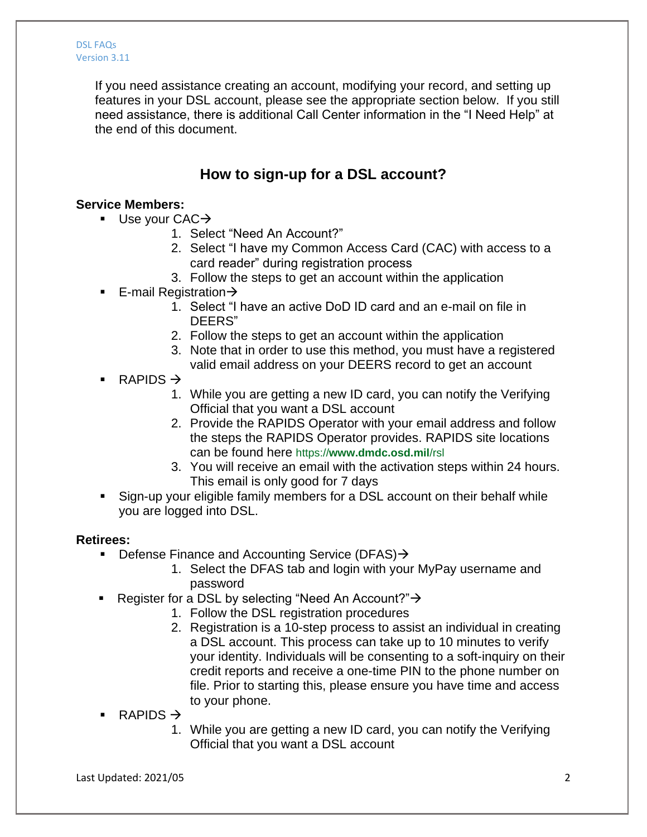If you need assistance creating an account, modifying your record, and setting up features in your DSL account, please see the appropriate section below. If you still need assistance, there is additional Call Center information in the "I Need Help" at the end of this document.

# **How to sign-up for a DSL account?**

### **Service Members:**

- Use your  $CAC \rightarrow$ 
	- 1. Select "Need An Account?"
	- 2. Select "I have my Common Access Card (CAC) with access to a card reader" during registration process
	- 3. Follow the steps to get an account within the application
- E-mail Registration $\rightarrow$ 
	- 1. Select "I have an active DoD ID card and an e-mail on file in DEERS"
	- 2. Follow the steps to get an account within the application
	- 3. Note that in order to use this method, you must have a registered valid email address on your DEERS record to get an account
- RAPIDS  $\rightarrow$ 
	- 1. While you are getting a new ID card, you can notify the Verifying Official that you want a DSL account
	- 2. Provide the RAPIDS Operator with your email address and follow the steps the RAPIDS Operator provides. RAPIDS site locations can be found here https://**www.dmdc.osd.mil**/rsl
	- 3. You will receive an email with the activation steps within 24 hours. This email is only good for 7 days
- Sign-up your eligible family members for a DSL account on their behalf while you are logged into DSL.

#### **Retirees:**

- **Defense Finance and Accounting Service (DFAS)** 
	- 1. Select the DFAS tab and login with your MyPay username and password
- Register for a DSL by selecting "Need An Account?"  $\rightarrow$ 
	- 1. Follow the DSL registration procedures
	- 2. Registration is a 10-step process to assist an individual in creating a DSL account. This process can take up to 10 minutes to verify your identity. Individuals will be consenting to a soft-inquiry on their credit reports and receive a one-time PIN to the phone number on file. Prior to starting this, please ensure you have time and access to your phone.
- RAPIDS  $\rightarrow$ 
	- 1. While you are getting a new ID card, you can notify the Verifying Official that you want a DSL account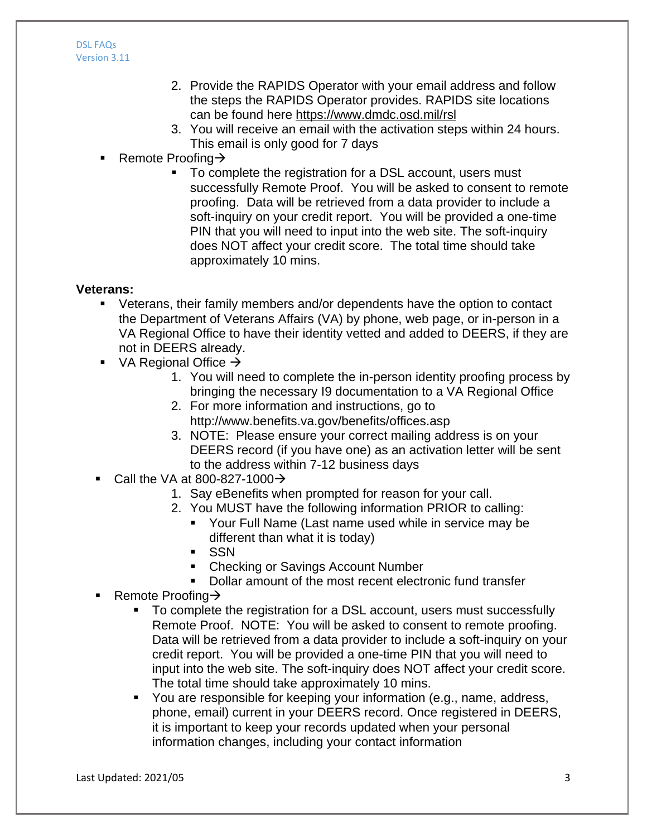- 2. Provide the RAPIDS Operator with your email address and follow the steps the RAPIDS Operator provides. RAPIDS site locations can be found here https://www.dmdc.osd.mil/rsl
- 3. You will receive an email with the activation steps within 24 hours. This email is only good for 7 days
- Remote Proofing  $\rightarrow$ 
	- To complete the registration for a DSL account, users must successfully Remote Proof. You will be asked to consent to remote proofing. Data will be retrieved from a data provider to include a soft-inquiry on your credit report. You will be provided a one-time PIN that you will need to input into the web site. The soft-inquiry does NOT affect your credit score. The total time should take approximately 10 mins.

### **Veterans:**

- Veterans, their family members and/or dependents have the option to contact the Department of Veterans Affairs (VA) by phone, web page, or in-person in a VA Regional Office to have their identity vetted and added to DEERS, if they are not in DEERS already.
- $\blacksquare$  VA Regional Office  $\rightarrow$ 
	- 1. You will need to complete the in-person identity proofing process by bringing the necessary I9 documentation to a VA Regional Office
	- 2. For more information and instructions, go to http://www.benefits.va.gov/benefits/offices.asp
	- 3. NOTE: Please ensure your correct mailing address is on your DEERS record (if you have one) as an activation letter will be sent to the address within 7-12 business days
- Call the VA at 800-827-1000 $\rightarrow$ 
	- 1. Say eBenefits when prompted for reason for your call.
	- 2. You MUST have the following information PRIOR to calling:
		- Your Full Name (Last name used while in service may be different than what it is today)
		- **SSN**
		- Checking or Savings Account Number
		- Dollar amount of the most recent electronic fund transfer
- Remote Proofing  $\rightarrow$ 
	- To complete the registration for a DSL account, users must successfully Remote Proof. NOTE: You will be asked to consent to remote proofing. Data will be retrieved from a data provider to include a soft-inquiry on your credit report. You will be provided a one-time PIN that you will need to input into the web site. The soft-inquiry does NOT affect your credit score. The total time should take approximately 10 mins.
	- You are responsible for keeping your information (e.g., name, address, phone, email) current in your DEERS record. Once registered in DEERS, it is important to keep your records updated when your personal information changes, including your contact information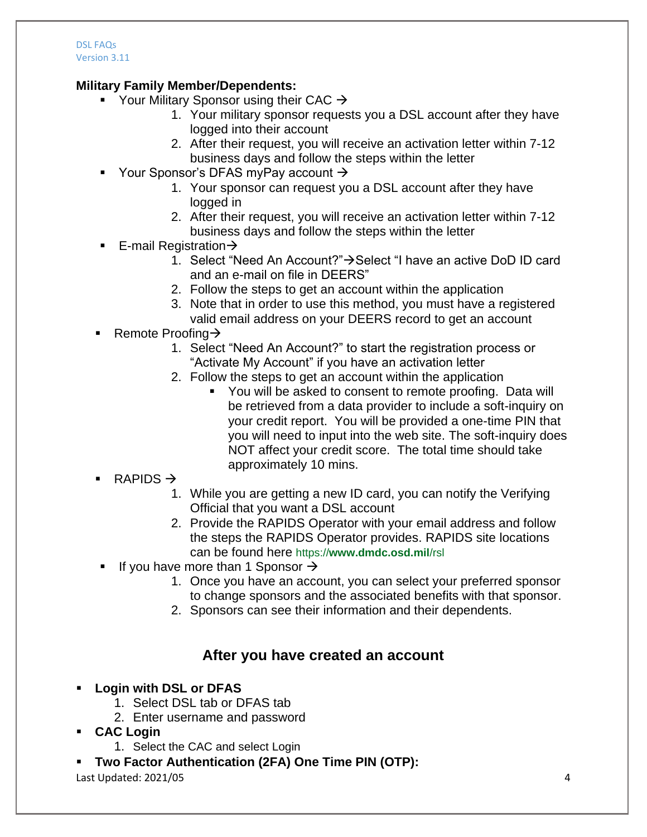## **Military Family Member/Dependents:**

- Your Military Sponsor using their CAC  $\rightarrow$ 
	- 1. Your military sponsor requests you a DSL account after they have logged into their account
	- 2. After their request, you will receive an activation letter within 7-12 business days and follow the steps within the letter
- Your Sponsor's DFAS myPay account  $\rightarrow$ 
	- 1. Your sponsor can request you a DSL account after they have logged in
	- 2. After their request, you will receive an activation letter within 7-12 business days and follow the steps within the letter
- **E**-mail Registration  $\rightarrow$ 
	- 1. Select "Need An Account?" $\rightarrow$  Select "I have an active DoD ID card and an e-mail on file in DEERS"
	- 2. Follow the steps to get an account within the application
	- 3. Note that in order to use this method, you must have a registered valid email address on your DEERS record to get an account
- Remote Proofing  $\rightarrow$ 
	- 1. Select "Need An Account?" to start the registration process or "Activate My Account" if you have an activation letter
	- 2. Follow the steps to get an account within the application
		- You will be asked to consent to remote proofing. Data will be retrieved from a data provider to include a soft-inquiry on your credit report. You will be provided a one-time PIN that you will need to input into the web site. The soft-inquiry does NOT affect your credit score. The total time should take approximately 10 mins.
- RAPIDS  $\rightarrow$ 
	- 1. While you are getting a new ID card, you can notify the Verifying Official that you want a DSL account
	- 2. Provide the RAPIDS Operator with your email address and follow the steps the RAPIDS Operator provides. RAPIDS site locations can be found here https://**www.dmdc.osd.mil**/rsl
- If you have more than 1 Sponsor  $\rightarrow$ 
	- 1. Once you have an account, you can select your preferred sponsor to change sponsors and the associated benefits with that sponsor.
	- 2. Sponsors can see their information and their dependents.

# **After you have created an account**

- **Login with DSL or DFAS**
	- 1. Select DSL tab or DFAS tab
	- 2. Enter username and password
- **CAC Login**
	- 1. Select the CAC and select Login
- **Two Factor Authentication (2FA) One Time PIN (OTP):**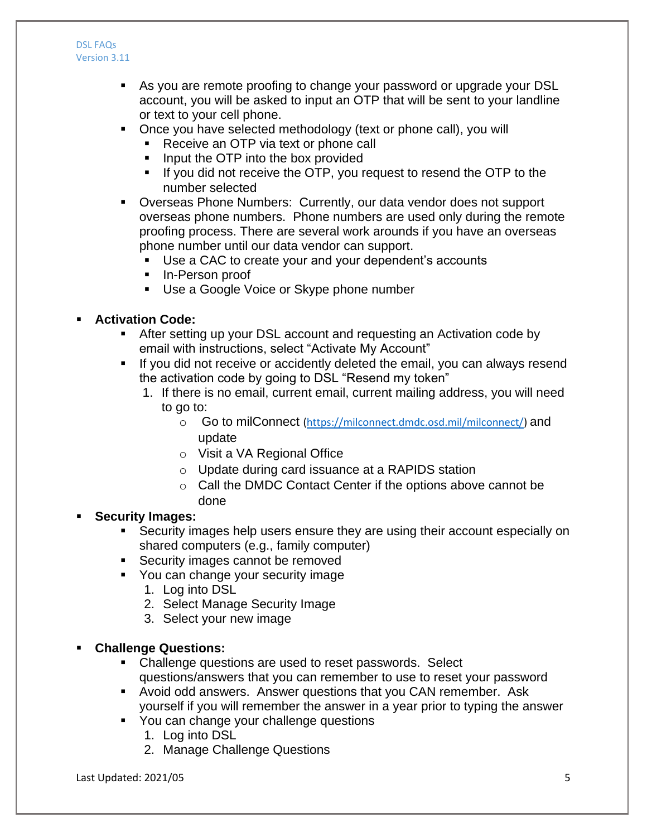- As you are remote proofing to change your password or upgrade your DSL account, you will be asked to input an OTP that will be sent to your landline or text to your cell phone.
- Once you have selected methodology (text or phone call), you will
	- Receive an OTP via text or phone call
	- Input the OTP into the box provided
	- If you did not receive the OTP, you request to resend the OTP to the number selected
- Overseas Phone Numbers: Currently, our data vendor does not support overseas phone numbers. Phone numbers are used only during the remote proofing process. There are several work arounds if you have an overseas phone number until our data vendor can support.
	- Use a CAC to create your and your dependent's accounts
	- In-Person proof
	- Use a Google Voice or Skype phone number

## **Activation Code:**

- After setting up your DSL account and requesting an Activation code by email with instructions, select "Activate My Account"
- If you did not receive or accidently deleted the email, you can always resend the activation code by going to DSL "Resend my token"
	- 1. If there is no email, current email, current mailing address, you will need to go to:
		- o Go to milConnect (https://milconnect.dmdc.osd.mil/milconnect/) and update
		- o Visit a VA Regional Office
		- o Update during card issuance at a RAPIDS station
		- o Call the DMDC Contact Center if the options above cannot be done

### **Security Images:**

- Security images help users ensure they are using their account especially on shared computers (e.g., family computer)
- **Security images cannot be removed**
- **You can change your security image** 
	- 1. Log into DSL
	- 2. Select Manage Security Image
	- 3. Select your new image

### **Challenge Questions:**

- Challenge questions are used to reset passwords. Select questions/answers that you can remember to use to reset your password
- Avoid odd answers. Answer questions that you CAN remember. Ask yourself if you will remember the answer in a year prior to typing the answer
- **You can change your challenge questions** 
	- 1. Log into DSL
	- 2. Manage Challenge Questions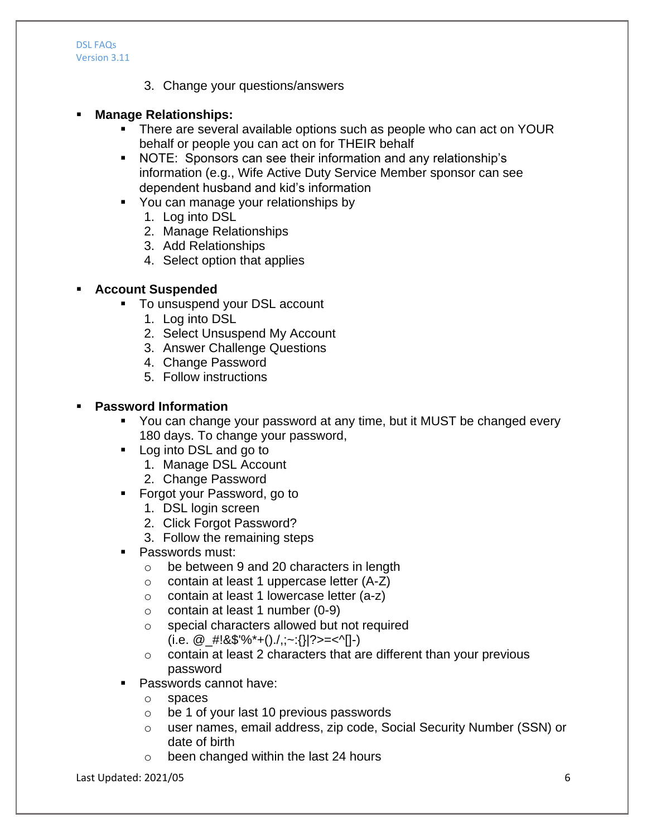3. Change your questions/answers

### **Manage Relationships:**

- **There are several available options such as people who can act on YOUR** behalf or people you can act on for THEIR behalf
- NOTE: Sponsors can see their information and any relationship's information (e.g., Wife Active Duty Service Member sponsor can see dependent husband and kid's information
- You can manage your relationships by
	- 1. Log into DSL
	- 2. Manage Relationships
	- 3. Add Relationships
	- 4. Select option that applies

### **Account Suspended**

- To unsuspend your DSL account
	- 1. Log into DSL
	- 2. Select Unsuspend My Account
	- 3. Answer Challenge Questions
	- 4. Change Password
	- 5. Follow instructions

### **Password Information**

- You can change your password at any time, but it MUST be changed every 180 days. To change your password,
- **Log into DSL and go to** 
	- 1. Manage DSL Account
	- 2. Change Password
- **Forgot your Password, go to** 
	- 1. DSL login screen
	- 2. Click Forgot Password?
	- 3. Follow the remaining steps
- **Passwords must:** 
	- o be between 9 and 20 characters in length
	- $\circ$  contain at least 1 uppercase letter (A-Z)
	- o contain at least 1 lowercase letter (a-z)
	- $\circ$  contain at least 1 number (0-9)
	- o special characters allowed but not required
		- (i.e.  $\mathcal{Q}_{\mathcal{I}}$ #!&\$'%\*+()./,;~:{}|?>=<^[]-)
	- o contain at least 2 characters that are different than your previous password
- Passwords cannot have:
	- o spaces
	- o be 1 of your last 10 previous passwords
	- o user names, email address, zip code, Social Security Number (SSN) or date of birth
	- o been changed within the last 24 hours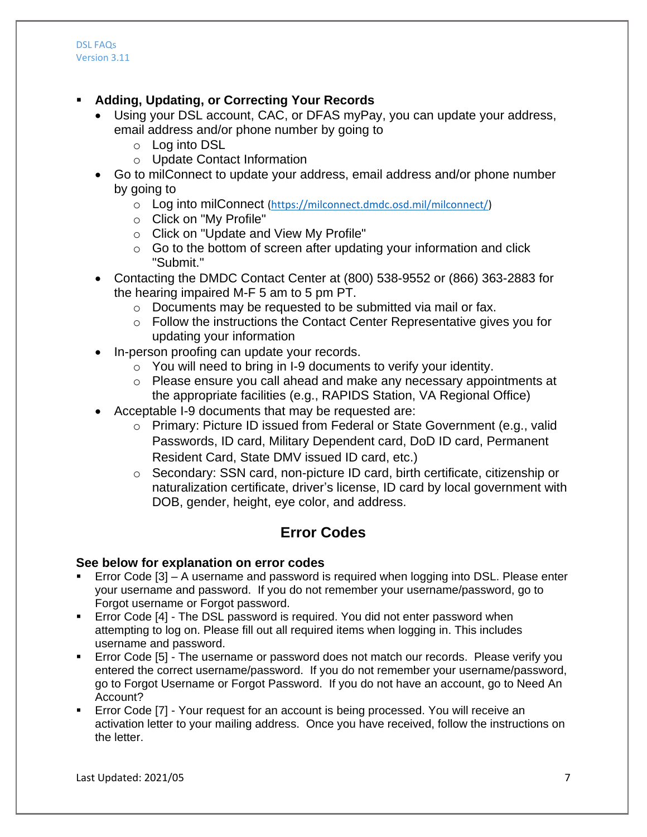- **Adding, Updating, or Correcting Your Records**
	- Using your DSL account, CAC, or DFAS myPay, you can update your address, email address and/or phone number by going to
		- o Log into DSL
		- o Update Contact Information
	- Go to milConnect to update your address, email address and/or phone number by going to
		- o Log into milConnect (https://milconnect.dmdc.osd.mil/milconnect/)
		- o Click on "My Profile"
		- o Click on "Update and View My Profile"
		- $\circ$  Go to the bottom of screen after updating your information and click "Submit."
	- Contacting the DMDC Contact Center at (800) 538-9552 or (866) 363-2883 for the hearing impaired M-F 5 am to 5 pm PT.
		- o Documents may be requested to be submitted via mail or fax.
		- o Follow the instructions the Contact Center Representative gives you for updating your information
	- In-person proofing can update your records.
		- $\circ$  You will need to bring in I-9 documents to verify your identity.
		- $\circ$  Please ensure you call ahead and make any necessary appointments at the appropriate facilities (e.g., RAPIDS Station, VA Regional Office)
	- Acceptable I-9 documents that may be requested are:
		- o Primary: Picture ID issued from Federal or State Government (e.g., valid Passwords, ID card, Military Dependent card, DoD ID card, Permanent Resident Card, State DMV issued ID card, etc.)
		- o Secondary: SSN card, non-picture ID card, birth certificate, citizenship or naturalization certificate, driver's license, ID card by local government with DOB, gender, height, eye color, and address.

# **Error Codes**

#### **See below for explanation on error codes**

- Error Code [3] A username and password is required when logging into DSL. Please enter your username and password. If you do not remember your username/password, go to Forgot username or Forgot password.
- Error Code [4] The DSL password is required. You did not enter password when attempting to log on. Please fill out all required items when logging in. This includes username and password.
- **Error Code [5] The username or password does not match our records. Please verify you** entered the correct username/password. If you do not remember your username/password, go to Forgot Username or Forgot Password. If you do not have an account, go to Need An Account?
- Error Code [7] Your request for an account is being processed. You will receive an activation letter to your mailing address. Once you have received, follow the instructions on the letter.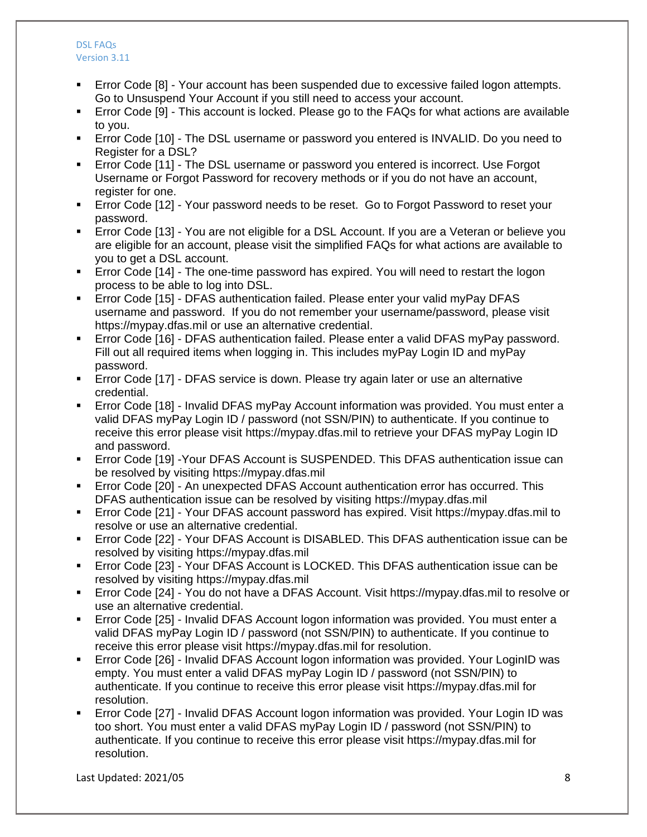- Error Code [8] Your account has been suspended due to excessive failed logon attempts. Go to Unsuspend Your Account if you still need to access your account.
- Error Code [9] This account is locked. Please go to the FAQs for what actions are available to you.
- Error Code [10] The DSL username or password you entered is INVALID. Do you need to Register for a DSL?
- Error Code [11] The DSL username or password you entered is incorrect. Use Forgot Username or Forgot Password for recovery methods or if you do not have an account, register for one.
- **Error Code [12] Your password needs to be reset. Go to Forgot Password to reset your** password.
- Error Code [13] You are not eligible for a DSL Account. If you are a Veteran or believe you are eligible for an account, please visit the simplified FAQs for what actions are available to you to get a DSL account.
- Error Code [14] The one-time password has expired. You will need to restart the logon process to be able to log into DSL.
- Error Code [15] DFAS authentication failed. Please enter your valid myPay DFAS username and password. If you do not remember your username/password, please visit https://mypay.dfas.mil or use an alternative credential.
- Error Code [16] DFAS authentication failed. Please enter a valid DFAS myPay password. Fill out all required items when logging in. This includes myPay Login ID and myPay password.
- Error Code [17] DFAS service is down. Please try again later or use an alternative credential.
- Error Code [18] Invalid DFAS myPay Account information was provided. You must enter a valid DFAS myPay Login ID / password (not SSN/PIN) to authenticate. If you continue to receive this error please visit https://mypay.dfas.mil to retrieve your DFAS myPay Login ID and password.
- Error Code [19] -Your DFAS Account is SUSPENDED. This DFAS authentication issue can be resolved by visiting https://mypay.dfas.mil
- Error Code [20] An unexpected DFAS Account authentication error has occurred. This DFAS authentication issue can be resolved by visiting https://mypay.dfas.mil
- Error Code [21] Your DFAS account password has expired. Visit https://mypay.dfas.mil to resolve or use an alternative credential.
- Error Code [22] Your DFAS Account is DISABLED. This DFAS authentication issue can be resolved by visiting https://mypay.dfas.mil
- Error Code [23] Your DFAS Account is LOCKED. This DFAS authentication issue can be resolved by visiting https://mypay.dfas.mil
- Error Code [24] You do not have a DFAS Account. Visit https://mypay.dfas.mil to resolve or use an alternative credential.
- Error Code [25] Invalid DFAS Account logon information was provided. You must enter a valid DFAS myPay Login ID / password (not SSN/PIN) to authenticate. If you continue to receive this error please visit https://mypay.dfas.mil for resolution.
- Error Code [26] Invalid DFAS Account logon information was provided. Your LoginID was empty. You must enter a valid DFAS myPay Login ID / password (not SSN/PIN) to authenticate. If you continue to receive this error please visit https://mypay.dfas.mil for resolution.
- Error Code [27] Invalid DFAS Account logon information was provided. Your Login ID was too short. You must enter a valid DFAS myPay Login ID / password (not SSN/PIN) to authenticate. If you continue to receive this error please visit https://mypay.dfas.mil for resolution.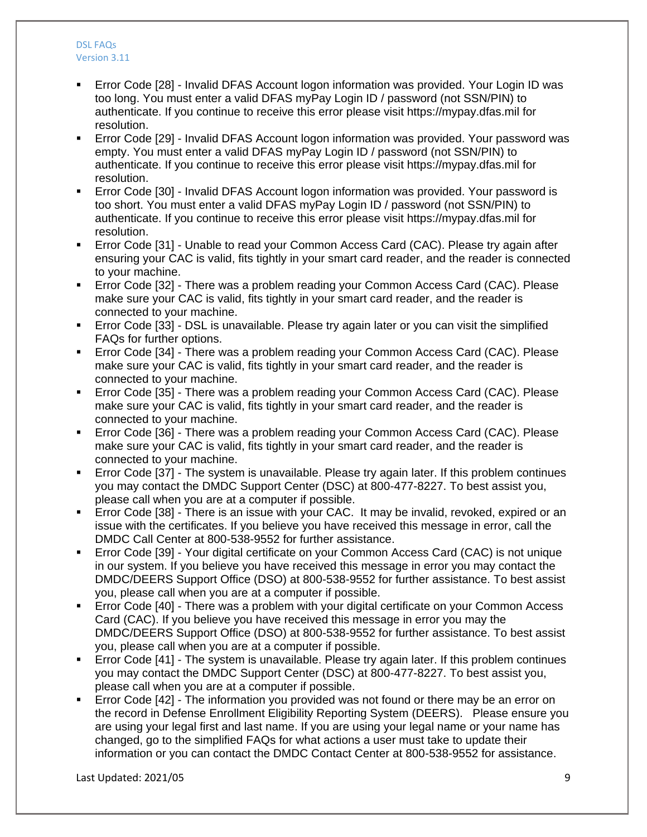- Error Code [28] Invalid DFAS Account logon information was provided. Your Login ID was too long. You must enter a valid DFAS myPay Login ID / password (not SSN/PIN) to authenticate. If you continue to receive this error please visit https://mypay.dfas.mil for resolution.
- Error Code [29] Invalid DFAS Account logon information was provided. Your password was empty. You must enter a valid DFAS myPay Login ID / password (not SSN/PIN) to authenticate. If you continue to receive this error please visit https://mypay.dfas.mil for resolution.
- Error Code [30] Invalid DFAS Account logon information was provided. Your password is too short. You must enter a valid DFAS myPay Login ID / password (not SSN/PIN) to authenticate. If you continue to receive this error please visit https://mypay.dfas.mil for resolution.
- Error Code [31] Unable to read your Common Access Card (CAC). Please try again after ensuring your CAC is valid, fits tightly in your smart card reader, and the reader is connected to your machine.
- Error Code [32] There was a problem reading your Common Access Card (CAC). Please make sure your CAC is valid, fits tightly in your smart card reader, and the reader is connected to your machine.
- Error Code [33] DSL is unavailable. Please try again later or you can visit the simplified FAQs for further options.
- Error Code [34] There was a problem reading your Common Access Card (CAC). Please make sure your CAC is valid, fits tightly in your smart card reader, and the reader is connected to your machine.
- Error Code [35] There was a problem reading your Common Access Card (CAC). Please make sure your CAC is valid, fits tightly in your smart card reader, and the reader is connected to your machine.
- Error Code [36] There was a problem reading your Common Access Card (CAC). Please make sure your CAC is valid, fits tightly in your smart card reader, and the reader is connected to your machine.
- Error Code [37] The system is unavailable. Please try again later. If this problem continues you may contact the DMDC Support Center (DSC) at 800-477-8227. To best assist you, please call when you are at a computer if possible.
- Error Code [38] There is an issue with your CAC. It may be invalid, revoked, expired or an issue with the certificates. If you believe you have received this message in error, call the DMDC Call Center at 800-538-9552 for further assistance.
- Error Code [39] Your digital certificate on your Common Access Card (CAC) is not unique in our system. If you believe you have received this message in error you may contact the DMDC/DEERS Support Office (DSO) at 800-538-9552 for further assistance. To best assist you, please call when you are at a computer if possible.
- Error Code [40] There was a problem with your digital certificate on your Common Access Card (CAC). If you believe you have received this message in error you may the DMDC/DEERS Support Office (DSO) at 800-538-9552 for further assistance. To best assist you, please call when you are at a computer if possible.
- Error Code [41] The system is unavailable. Please try again later. If this problem continues you may contact the DMDC Support Center (DSC) at 800-477-8227. To best assist you, please call when you are at a computer if possible.
- Error Code [42] The information you provided was not found or there may be an error on the record in Defense Enrollment Eligibility Reporting System (DEERS). Please ensure you are using your legal first and last name. If you are using your legal name or your name has changed, go to the simplified FAQs for what actions a user must take to update their information or you can contact the DMDC Contact Center at 800-538-9552 for assistance.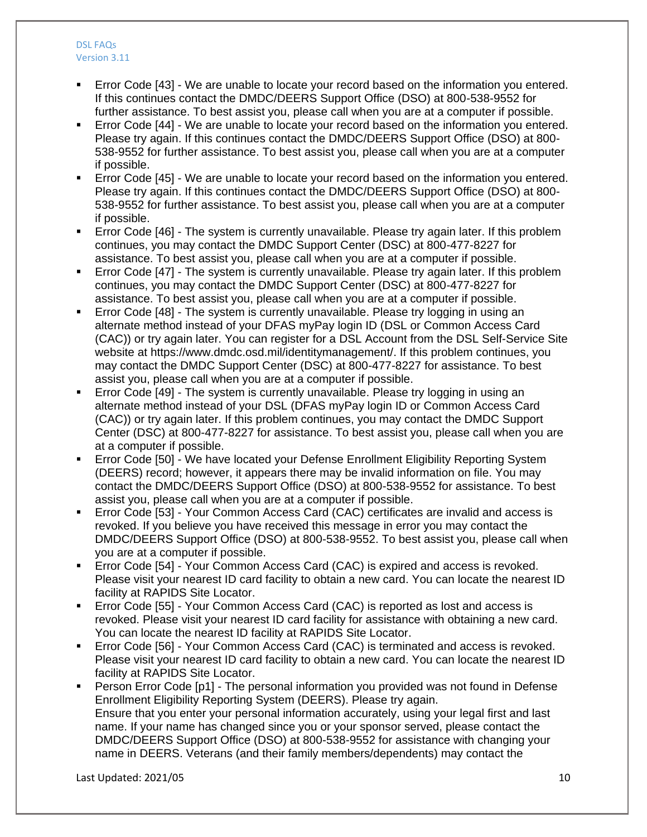- Error Code [43] We are unable to locate your record based on the information you entered. If this continues contact the DMDC/DEERS Support Office (DSO) at 800-538-9552 for further assistance. To best assist you, please call when you are at a computer if possible.
- Error Code [44] We are unable to locate your record based on the information you entered. Please try again. If this continues contact the DMDC/DEERS Support Office (DSO) at 800- 538-9552 for further assistance. To best assist you, please call when you are at a computer if possible.
- Error Code [45] We are unable to locate your record based on the information you entered. Please try again. If this continues contact the DMDC/DEERS Support Office (DSO) at 800- 538-9552 for further assistance. To best assist you, please call when you are at a computer if possible.
- Error Code [46] The system is currently unavailable. Please try again later. If this problem continues, you may contact the DMDC Support Center (DSC) at 800-477-8227 for assistance. To best assist you, please call when you are at a computer if possible.
- Error Code [47] The system is currently unavailable. Please try again later. If this problem continues, you may contact the DMDC Support Center (DSC) at 800-477-8227 for assistance. To best assist you, please call when you are at a computer if possible.
- Error Code [48] The system is currently unavailable. Please try logging in using an alternate method instead of your DFAS myPay login ID (DSL or Common Access Card (CAC)) or try again later. You can register for a DSL Account from the DSL Self-Service Site website at https://www.dmdc.osd.mil/identitymanagement/. If this problem continues, you may contact the DMDC Support Center (DSC) at 800-477-8227 for assistance. To best assist you, please call when you are at a computer if possible.
- Error Code [49] The system is currently unavailable. Please try logging in using an alternate method instead of your DSL (DFAS myPay login ID or Common Access Card (CAC)) or try again later. If this problem continues, you may contact the DMDC Support Center (DSC) at 800-477-8227 for assistance. To best assist you, please call when you are at a computer if possible.
- Error Code [50] We have located your Defense Enrollment Eligibility Reporting System (DEERS) record; however, it appears there may be invalid information on file. You may contact the DMDC/DEERS Support Office (DSO) at 800-538-9552 for assistance. To best assist you, please call when you are at a computer if possible.
- Error Code [53] Your Common Access Card (CAC) certificates are invalid and access is revoked. If you believe you have received this message in error you may contact the DMDC/DEERS Support Office (DSO) at 800-538-9552. To best assist you, please call when you are at a computer if possible.
- Error Code [54] Your Common Access Card (CAC) is expired and access is revoked. Please visit your nearest ID card facility to obtain a new card. You can locate the nearest ID facility at RAPIDS Site Locator.
- Error Code [55] Your Common Access Card (CAC) is reported as lost and access is revoked. Please visit your nearest ID card facility for assistance with obtaining a new card. You can locate the nearest ID facility at RAPIDS Site Locator.
- Error Code [56] Your Common Access Card (CAC) is terminated and access is revoked. Please visit your nearest ID card facility to obtain a new card. You can locate the nearest ID facility at RAPIDS Site Locator.
- Person Error Code [p1] The personal information you provided was not found in Defense Enrollment Eligibility Reporting System (DEERS). Please try again. Ensure that you enter your personal information accurately, using your legal first and last name. If your name has changed since you or your sponsor served, please contact the DMDC/DEERS Support Office (DSO) at 800-538-9552 for assistance with changing your name in DEERS. Veterans (and their family members/dependents) may contact the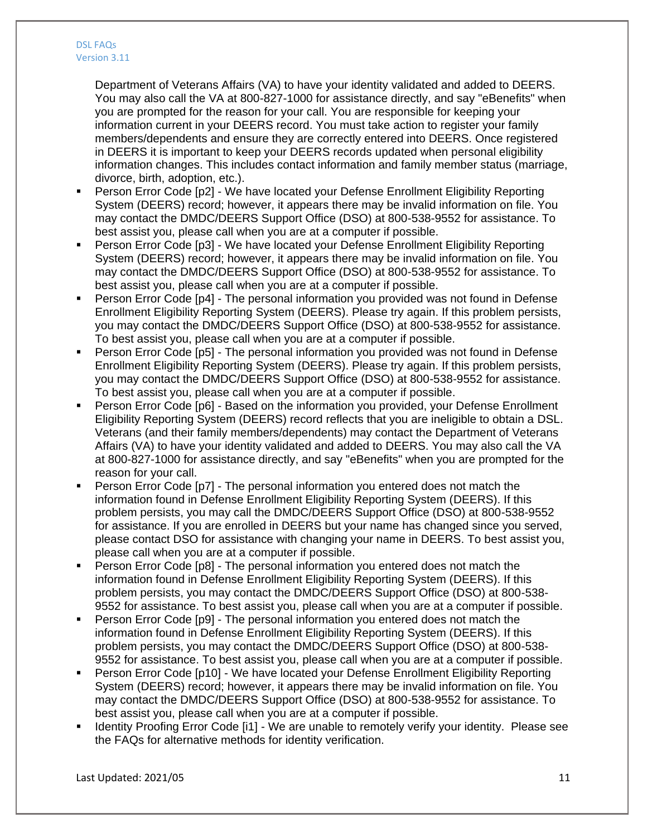Department of Veterans Affairs (VA) to have your identity validated and added to DEERS. You may also call the VA at 800-827-1000 for assistance directly, and say "eBenefits" when you are prompted for the reason for your call. You are responsible for keeping your information current in your DEERS record. You must take action to register your family members/dependents and ensure they are correctly entered into DEERS. Once registered in DEERS it is important to keep your DEERS records updated when personal eligibility information changes. This includes contact information and family member status (marriage, divorce, birth, adoption, etc.).

- Person Error Code [p2] We have located your Defense Enrollment Eligibility Reporting System (DEERS) record; however, it appears there may be invalid information on file. You may contact the DMDC/DEERS Support Office (DSO) at 800-538-9552 for assistance. To best assist you, please call when you are at a computer if possible.
- Person Error Code [p3] We have located your Defense Enrollment Eligibility Reporting System (DEERS) record; however, it appears there may be invalid information on file. You may contact the DMDC/DEERS Support Office (DSO) at 800-538-9552 for assistance. To best assist you, please call when you are at a computer if possible.
- Person Error Code [p4] The personal information you provided was not found in Defense Enrollment Eligibility Reporting System (DEERS). Please try again. If this problem persists, you may contact the DMDC/DEERS Support Office (DSO) at 800-538-9552 for assistance. To best assist you, please call when you are at a computer if possible.
- Person Error Code [p5] The personal information you provided was not found in Defense Enrollment Eligibility Reporting System (DEERS). Please try again. If this problem persists, you may contact the DMDC/DEERS Support Office (DSO) at 800-538-9552 for assistance. To best assist you, please call when you are at a computer if possible.
- Person Error Code [p6] Based on the information you provided, your Defense Enrollment Eligibility Reporting System (DEERS) record reflects that you are ineligible to obtain a DSL. Veterans (and their family members/dependents) may contact the Department of Veterans Affairs (VA) to have your identity validated and added to DEERS. You may also call the VA at 800-827-1000 for assistance directly, and say "eBenefits" when you are prompted for the reason for your call.
- Person Error Code [p7] The personal information you entered does not match the information found in Defense Enrollment Eligibility Reporting System (DEERS). If this problem persists, you may call the DMDC/DEERS Support Office (DSO) at 800-538-9552 for assistance. If you are enrolled in DEERS but your name has changed since you served, please contact DSO for assistance with changing your name in DEERS. To best assist you, please call when you are at a computer if possible.
- Person Error Code [p8] The personal information you entered does not match the information found in Defense Enrollment Eligibility Reporting System (DEERS). If this problem persists, you may contact the DMDC/DEERS Support Office (DSO) at 800-538- 9552 for assistance. To best assist you, please call when you are at a computer if possible.
- Person Error Code [p9] The personal information you entered does not match the information found in Defense Enrollment Eligibility Reporting System (DEERS). If this problem persists, you may contact the DMDC/DEERS Support Office (DSO) at 800-538- 9552 for assistance. To best assist you, please call when you are at a computer if possible.
- Person Error Code [p10] We have located your Defense Enrollment Eligibility Reporting System (DEERS) record; however, it appears there may be invalid information on file. You may contact the DMDC/DEERS Support Office (DSO) at 800-538-9552 for assistance. To best assist you, please call when you are at a computer if possible.
- Identity Proofing Error Code [i1] We are unable to remotely verify your identity. Please see the FAQs for alternative methods for identity verification.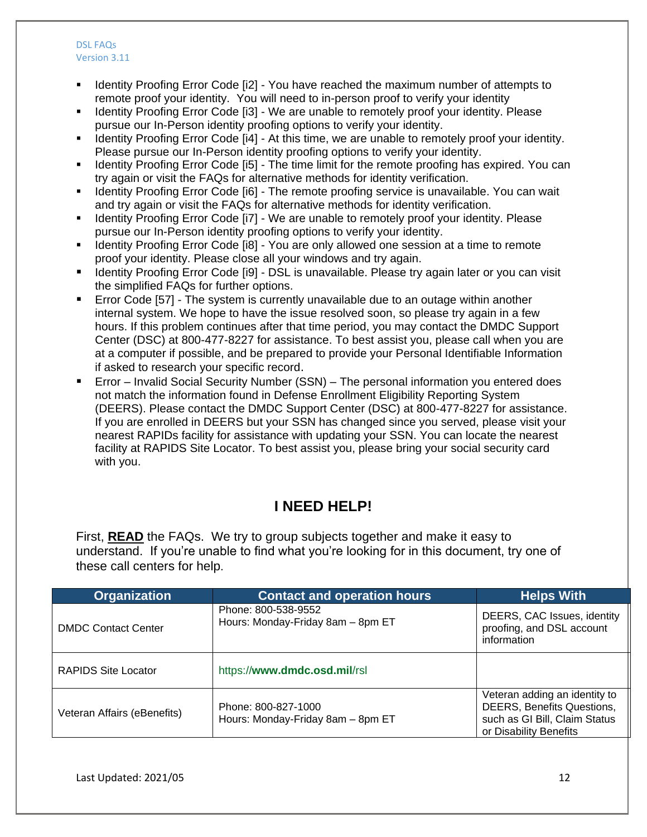- Identity Proofing Error Code [i2] You have reached the maximum number of attempts to remote proof your identity. You will need to in-person proof to verify your identity
- Identity Proofing Error Code [i3] We are unable to remotely proof your identity. Please pursue our In-Person identity proofing options to verify your identity.
- Identity Proofing Error Code [i4] At this time, we are unable to remotely proof your identity. Please pursue our In-Person identity proofing options to verify your identity.
- Identity Proofing Error Code [i5] The time limit for the remote proofing has expired. You can try again or visit the FAQs for alternative methods for identity verification.
- Identity Proofing Error Code [i6] The remote proofing service is unavailable. You can wait and try again or visit the FAQs for alternative methods for identity verification.
- Identity Proofing Error Code [i7] We are unable to remotely proof your identity. Please pursue our In-Person identity proofing options to verify your identity.
- Identity Proofing Error Code [i8] You are only allowed one session at a time to remote proof your identity. Please close all your windows and try again.
- **IDED 15 Identity Proofing Error Code [i9] DSL is unavailable. Please try again later or you can visit** the simplified FAQs for further options.
- Error Code [57] The system is currently unavailable due to an outage within another internal system. We hope to have the issue resolved soon, so please try again in a few hours. If this problem continues after that time period, you may contact the DMDC Support Center (DSC) at 800-477-8227 for assistance. To best assist you, please call when you are at a computer if possible, and be prepared to provide your Personal Identifiable Information if asked to research your specific record.
- Error Invalid Social Security Number (SSN) The personal information you entered does not match the information found in Defense Enrollment Eligibility Reporting System (DEERS). Please contact the DMDC Support Center (DSC) at 800-477-8227 for assistance. If you are enrolled in DEERS but your SSN has changed since you served, please visit your nearest RAPIDs facility for assistance with updating your SSN. You can locate the nearest facility at RAPIDS Site Locator. To best assist you, please bring your social security card with you.

# **I NEED HELP!**

First, **READ** the FAQs. We try to group subjects together and make it easy to understand. If you're unable to find what you're looking for in this document, try one of these call centers for help.

| <b>Organization</b>         | <b>Contact and operation hours</b>                       | <b>Helps With</b>                                                                                                             |
|-----------------------------|----------------------------------------------------------|-------------------------------------------------------------------------------------------------------------------------------|
| <b>DMDC Contact Center</b>  | Phone: 800-538-9552<br>Hours: Monday-Friday 8am - 8pm ET | DEERS, CAC Issues, identity<br>proofing, and DSL account<br>information                                                       |
| <b>RAPIDS Site Locator</b>  | https://www.dmdc.osd.mil/rsl                             |                                                                                                                               |
| Veteran Affairs (eBenefits) | Phone: 800-827-1000<br>Hours: Monday-Friday 8am - 8pm ET | Veteran adding an identity to<br><b>DEERS, Benefits Questions,</b><br>such as GI Bill, Claim Status<br>or Disability Benefits |